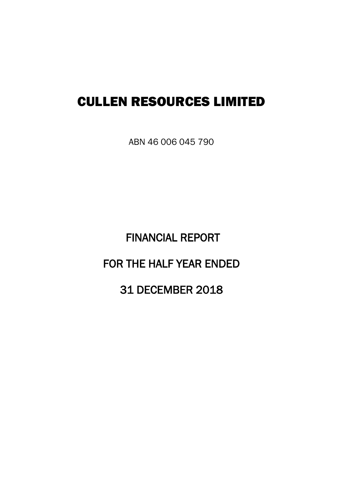# CULLEN RESOURCES LIMITED

ABN 46 006 045 790

 FINANCIAL REPORT FOR THE HALF YEAR ENDED 31 DECEMBER 2018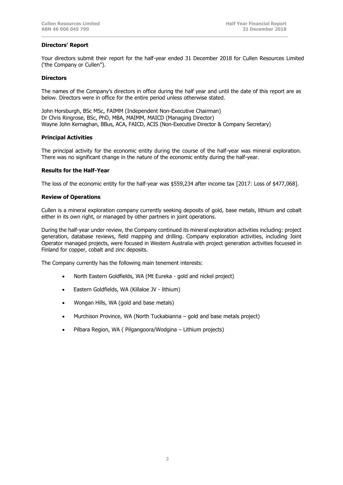## **Directors' Report**

Your directors submit their report for the half-year ended 31 December 2018 for Cullen Resources Limited ('the Company or Cullen").

**\_\_\_\_\_\_\_\_\_\_\_\_\_\_\_\_\_\_\_\_\_\_\_\_\_\_\_\_\_\_\_\_\_\_\_\_\_\_\_\_\_\_\_\_\_\_\_\_\_\_\_\_\_\_\_\_\_\_\_\_\_\_\_\_\_\_\_\_\_\_\_\_\_\_\_\_\_\_\_\_\_\_\_\_**

#### **Directors**

The names of the Company's directors in office during the half year and until the date of this report are as below. Directors were in office for the entire period unless otherwise stated.

John Horsburgh, BSc MSc, FAIMM (Independent Non-Executive Chairman) Dr Chris Ringrose, BSc, PhD, MBA, MAIMM, MAICD (Managing Director) Wayne John Kernaghan, BBus, ACA, FAICD, ACIS (Non-Executive Director & Company Secretary)

## **Principal Activities**

The principal activity for the economic entity during the course of the half-year was mineral exploration. There was no significant change in the nature of the economic entity during the half-year.

## **Results for the Half-Year**

The loss of the economic entity for the half-year was \$559,234 after income tax [2017: Loss of \$477,068].

## **Review of Operations**

Cullen is a mineral exploration company currently seeking deposits of gold, base metals, lithium and cobalt either in its own right, or managed by other partners in joint operations.

During the half-year under review, the Company continued its mineral exploration activities including: project generation, database reviews, field mapping and drilling. Company exploration activities, including Joint Operator managed projects, were focused in Western Australia with project generation activities focussed in Finland for copper, cobalt and zinc deposits.

The Company currently has the following main tenement interests:

- North Eastern Goldfields, WA (Mt Eureka gold and nickel project)
- Eastern Goldfields, WA (Killaloe JV lithium)
- Wongan Hills, WA (gold and base metals)
- Murchison Province, WA (North Tuckabianna gold and base metals project)
- Pilbara Region, WA ( Pilgangoora/Wodgina Lithium projects)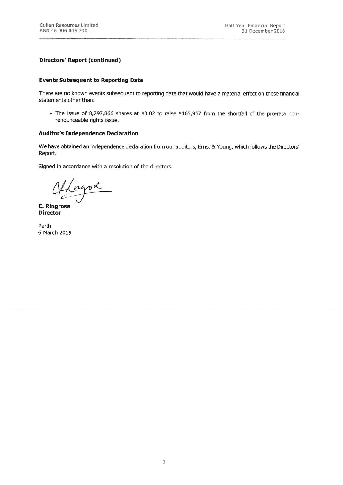## **Directors' Report (continued)**

## **Events Subsequent to Reporting Date**

There are no known events subsequent to reporting date that would have a material effect on these financial statements other than:

• The issue of 8,297,866 shares at \$0.02 to raise \$165,957 from the shortfall of the pro-rata nonrenounceable rights issue.

## **Auditor's Independence Declaration**

We have obtained an independence declaration from our auditors, Ernst & Young, which follows the Directors' Report.

Signed in accordance with a resolution of the directors.

Offengod

C. Ringrose **Director** 

Perth 6 March 2019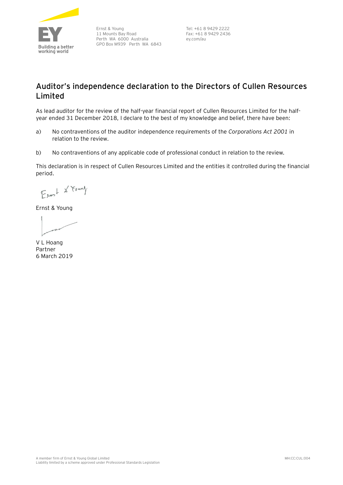

Ernst & Young 11 Mounts Bay Road Perth WA 6000 Australia GPO Box M939 Perth WA 6843 Tel: +61 8 9429 2222 Fax: +61 8 9429 2436 ey.com/au

# **Auditor's independence declaration to the Directors of Cullen Resources Limited**

As lead auditor for the review of the half-year financial report of Cullen Resources Limited for the halfyear ended 31 December 2018, I declare to the best of my knowledge and belief, there have been:

- a) No contraventions of the auditor independence requirements of the *Corporations Act 2001* in relation to the review*.*
- b) No contraventions of any applicable code of professional conduct in relation to the review.

This declaration is in respect of Cullen Resources Limited and the entities it controlled during the financial period.

Earst & Found

Ernst & Young

V L Hoang Partner 6 March 2019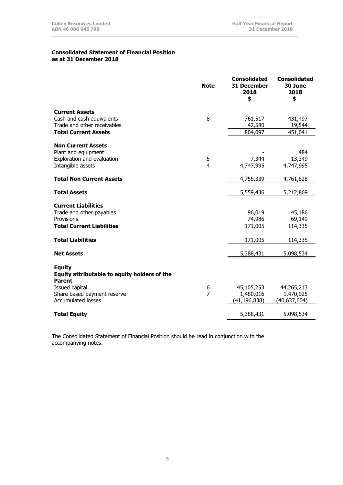## **Consolidated Statement of Financial Position as at 31 December 2018**

|                                              | <b>Note</b>    | <b>Consolidated</b><br><b>31 December</b><br>2018<br>\$ | <b>Consolidated</b><br>30 June<br>2018<br>\$ |
|----------------------------------------------|----------------|---------------------------------------------------------|----------------------------------------------|
| <b>Current Assets</b>                        |                |                                                         |                                              |
| Cash and cash equivalents                    | 8              | 761,517                                                 | 431,497                                      |
| Trade and other receivables                  |                | 42,580                                                  | 19,544                                       |
| <b>Total Current Assets</b>                  |                | 804,097                                                 | 451,041                                      |
| <b>Non Current Assets</b>                    |                |                                                         |                                              |
| Plant and equipment                          |                |                                                         | 484                                          |
| Exploration and evaluation                   | 5              | 7,344                                                   | 13,349                                       |
| Intangible assets                            | 4              | 4,747,995                                               | 4,747,995                                    |
| <b>Total Non Current Assets</b>              |                | 4,755,339                                               | 4,761,828                                    |
| <b>Total Assets</b>                          |                | 5,559,436                                               | 5,212,869                                    |
| <b>Current Liabilities</b>                   |                |                                                         |                                              |
| Trade and other payables                     |                | 96,019                                                  | 45,186                                       |
| Provisions                                   |                | 74,986                                                  | 69,149                                       |
| <b>Total Current Liabilities</b>             |                | 171,005                                                 | 114,335                                      |
| <b>Total Liabilities</b>                     |                | 171,005                                                 | 114,335                                      |
| <b>Net Assets</b>                            |                | 5,388,431                                               | 5,098,534                                    |
| <b>Equity</b>                                |                |                                                         |                                              |
| Equity attributable to equity holders of the |                |                                                         |                                              |
| <b>Parent</b>                                |                |                                                         |                                              |
| Issued capital                               | 6              | 45,105,253                                              | 44,265,213                                   |
| Share based payment reserve                  | $\overline{7}$ | 1,480,016                                               | 1,470,925                                    |
| <b>Accumulated losses</b>                    |                | (41, 196, 838)                                          | (40,637,604)                                 |
| <b>Total Equity</b>                          |                | 5,388,431                                               | 5,098,534                                    |

**\_\_\_\_\_\_\_\_\_\_\_\_\_\_\_\_\_\_\_\_\_\_\_\_\_\_\_\_\_\_\_\_\_\_\_\_\_\_\_\_\_\_\_\_\_\_\_\_\_\_\_\_\_\_\_\_\_\_\_\_\_\_\_\_\_\_\_\_\_\_\_\_\_\_\_\_\_\_\_\_\_\_\_\_**

The Consolidated Statement of Financial Position should be read in conjunction with the accompanying notes.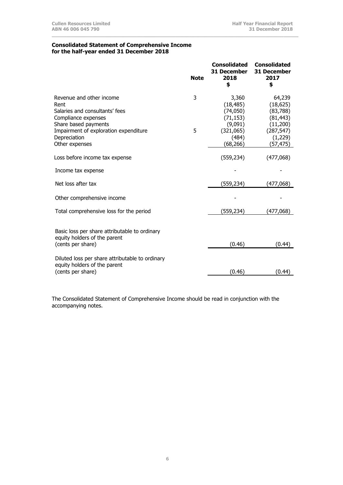#### **Consolidated Statement of Comprehensive Income for the half-year ended 31 December 2018**

|                                                                                                                                                            | <b>Note</b> | <b>Consolidated</b><br>31 December<br>2018<br>\$                     | <b>Consolidated</b><br><b>31 December</b><br>2017<br>\$                 |
|------------------------------------------------------------------------------------------------------------------------------------------------------------|-------------|----------------------------------------------------------------------|-------------------------------------------------------------------------|
| Revenue and other income<br>Rent<br>Salaries and consultants' fees<br>Compliance expenses<br>Share based payments<br>Impairment of exploration expenditure | 3<br>5      | 3,360<br>(18, 485)<br>(74, 050)<br>(71, 153)<br>(9,091)<br>(321,065) | 64,239<br>(18, 625)<br>(83, 788)<br>(81, 443)<br>(11,200)<br>(287, 547) |
| Depreciation<br>Other expenses                                                                                                                             |             | (484)<br>(68, 266)                                                   | (1,229)<br>(57,475)                                                     |
| Loss before income tax expense                                                                                                                             |             | (559, 234)                                                           | (477,068)                                                               |
| Income tax expense                                                                                                                                         |             |                                                                      |                                                                         |
| Net loss after tax                                                                                                                                         |             | (559,234)                                                            | (477,068)                                                               |
| Other comprehensive income                                                                                                                                 |             |                                                                      |                                                                         |
| Total comprehensive loss for the period                                                                                                                    |             | (559,234)                                                            | (477,068)                                                               |
| Basic loss per share attributable to ordinary<br>equity holders of the parent<br>(cents per share)                                                         |             | (0.46)                                                               | (0.44)                                                                  |
| Diluted loss per share attributable to ordinary<br>equity holders of the parent<br>(cents per share)                                                       |             | (0.46)                                                               | (0.44)                                                                  |

**\_\_\_\_\_\_\_\_\_\_\_\_\_\_\_\_\_\_\_\_\_\_\_\_\_\_\_\_\_\_\_\_\_\_\_\_\_\_\_\_\_\_\_\_\_\_\_\_\_\_\_\_\_\_\_\_\_\_\_\_\_\_\_\_\_\_\_\_\_\_\_\_\_\_\_\_\_\_\_\_\_\_\_\_**

The Consolidated Statement of Comprehensive Income should be read in conjunction with the accompanying notes.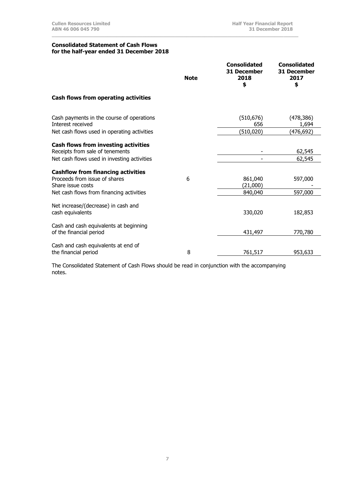#### **Consolidated Statement of Cash Flows for the half-year ended 31 December 2018**

|                                                                                                                               | <b>Note</b> | <b>Consolidated</b><br>31 December<br>2018<br>\$ | <b>Consolidated</b><br>31 December<br>2017<br>\$ |
|-------------------------------------------------------------------------------------------------------------------------------|-------------|--------------------------------------------------|--------------------------------------------------|
| Cash flows from operating activities                                                                                          |             |                                                  |                                                  |
| Cash payments in the course of operations<br>Interest received                                                                |             | (510, 676)<br>656                                | (478, 386)<br>1,694                              |
| Net cash flows used in operating activities                                                                                   |             | (510, 020)                                       | (476,692)                                        |
| <b>Cash flows from investing activities</b><br>Receipts from sale of tenements<br>Net cash flows used in investing activities |             |                                                  | 62,545<br>62,545                                 |
| <b>Cashflow from financing activities</b><br>Proceeds from issue of shares<br>Share issue costs                               | 6           | 861,040<br>(21,000)                              | 597,000                                          |
| Net cash flows from financing activities                                                                                      |             | 840,040                                          | 597,000                                          |
| Net increase/(decrease) in cash and<br>cash equivalents                                                                       |             | 330,020                                          | 182,853                                          |
| Cash and cash equivalents at beginning<br>of the financial period                                                             |             | 431,497                                          | 770,780                                          |
| Cash and cash equivalents at end of<br>the financial period                                                                   | 8           | 761,517                                          | 953,633                                          |

**\_\_\_\_\_\_\_\_\_\_\_\_\_\_\_\_\_\_\_\_\_\_\_\_\_\_\_\_\_\_\_\_\_\_\_\_\_\_\_\_\_\_\_\_\_\_\_\_\_\_\_\_\_\_\_\_\_\_\_\_\_\_\_\_\_\_\_\_\_\_\_\_\_\_\_\_\_\_\_\_\_\_\_\_**

The Consolidated Statement of Cash Flows should be read in conjunction with the accompanying notes.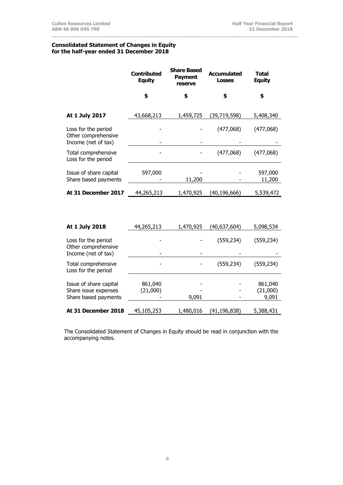## **Consolidated Statement of Changes in Equity for the half-year ended 31 December 2018**

|                                                                   | Contributed<br><b>Equity</b> | <b>Share Based</b><br><b>Payment</b><br>reserve | <b>Accumulated</b><br><b>Losses</b> | Total<br><b>Equity</b> |
|-------------------------------------------------------------------|------------------------------|-------------------------------------------------|-------------------------------------|------------------------|
|                                                                   | \$                           | \$                                              | \$                                  | \$                     |
| At 1 July 2017                                                    | 43,668,213                   | 1,459,725                                       | (39, 719, 598)                      | 5,408,340              |
| Loss for the period<br>Other comprehensive<br>Income (net of tax) |                              |                                                 | (477,068)                           | (477,068)              |
| Total comprehensive<br>Loss for the period                        |                              |                                                 | (477,068)                           | (477,068)              |
| Issue of share capital<br>Share based payments                    | 597,000                      | 11,200                                          |                                     | 597,000<br>11,200      |
| At 31 December 2017                                               | 44,265,213                   | 1,470,925                                       | (40, 196, 666)                      | 5,539,472              |

**\_\_\_\_\_\_\_\_\_\_\_\_\_\_\_\_\_\_\_\_\_\_\_\_\_\_\_\_\_\_\_\_\_\_\_\_\_\_\_\_\_\_\_\_\_\_\_\_\_\_\_\_\_\_\_\_\_\_\_\_\_\_\_\_\_\_\_\_\_\_\_\_\_\_\_\_\_\_\_\_\_\_\_\_**

| At 1 July 2018                                                         | 44,265,213          | 1,470,925 | (40,637,604)   | 5,098,534                    |
|------------------------------------------------------------------------|---------------------|-----------|----------------|------------------------------|
| Loss for the period<br>Other comprehensive<br>Income (net of tax)      |                     |           | (559, 234)     | (559, 234)                   |
| Total comprehensive<br>Loss for the period                             |                     |           | (559, 234)     | (559, 234)                   |
| Issue of share capital<br>Share issue expenses<br>Share based payments | 861,040<br>(21,000) | 9,091     |                | 861,040<br>(21,000)<br>9,091 |
| At 31 December 2018                                                    | 45,105,253          | 1,480,016 | (41, 196, 838) | 5,388,431                    |

The Consolidated Statement of Changes in Equity should be read in conjunction with the accompanying notes.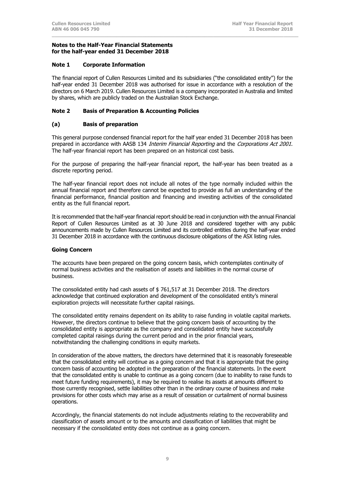## **Note 1 Corporate Information**

The financial report of Cullen Resources Limited and its subsidiaries ("the consolidated entity") for the half-year ended 31 December 2018 was authorised for issue in accordance with a resolution of the directors on 6 March 2019. Cullen Resources Limited is a company incorporated in Australia and limited by shares, which are publicly traded on the Australian Stock Exchange.

**\_\_\_\_\_\_\_\_\_\_\_\_\_\_\_\_\_\_\_\_\_\_\_\_\_\_\_\_\_\_\_\_\_\_\_\_\_\_\_\_\_\_\_\_\_\_\_\_\_\_\_\_\_\_\_\_\_\_\_\_\_\_\_\_\_\_\_\_\_\_\_\_\_\_\_\_\_\_\_\_\_\_\_\_**

## **Note 2 Basis of Preparation & Accounting Policies**

## **(a) Basis of preparation**

This general purpose condensed financial report for the half year ended 31 December 2018 has been prepared in accordance with AASB 134 *Interim Financial Reporting* and the *Corporations Act 2001*. The half-year financial report has been prepared on an historical cost basis.

For the purpose of preparing the half-year financial report, the half-year has been treated as a discrete reporting period.

The half-year financial report does not include all notes of the type normally included within the annual financial report and therefore cannot be expected to provide as full an understanding of the financial performance, financial position and financing and investing activities of the consolidated entity as the full financial report.

It is recommended that the half-year financial report should be read in conjunction with the annual Financial Report of Cullen Resources Limited as at 30 June 2018 and considered together with any public announcements made by Cullen Resources Limited and its controlled entities during the half-year ended 31 December 2018 in accordance with the continuous disclosure obligations of the ASX listing rules.

## **Going Concern**

The accounts have been prepared on the going concern basis, which contemplates continuity of normal business activities and the realisation of assets and liabilities in the normal course of business.

The consolidated entity had cash assets of \$ 761,517 at 31 December 2018. The directors acknowledge that continued exploration and development of the consolidated entity's mineral exploration projects will necessitate further capital raisings.

The consolidated entity remains dependent on its ability to raise funding in volatile capital markets. However, the directors continue to believe that the going concern basis of accounting by the consolidated entity is appropriate as the company and consolidated entity have successfully completed capital raisings during the current period and in the prior financial years, notwithstanding the challenging conditions in equity markets.

In consideration of the above matters, the directors have determined that it is reasonably foreseeable that the consolidated entity will continue as a going concern and that it is appropriate that the going concern basis of accounting be adopted in the preparation of the financial statements. In the event that the consolidated entity is unable to continue as a going concern (due to inability to raise funds to meet future funding requirements), it may be required to realise its assets at amounts different to those currently recognised, settle liabilities other than in the ordinary course of business and make provisions for other costs which may arise as a result of cessation or curtailment of normal business operations.

Accordingly, the financial statements do not include adjustments relating to the recoverability and classification of assets amount or to the amounts and classification of liabilities that might be necessary if the consolidated entity does not continue as a going concern.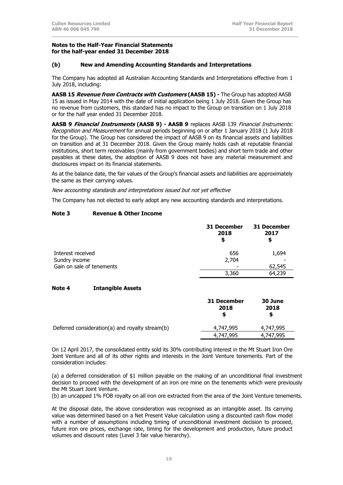## **(b) New and Amending Accounting Standards and Interpretations**

The Company has adopted all Australian Accounting Standards and Interpretations effective from 1 July 2018, including:

**\_\_\_\_\_\_\_\_\_\_\_\_\_\_\_\_\_\_\_\_\_\_\_\_\_\_\_\_\_\_\_\_\_\_\_\_\_\_\_\_\_\_\_\_\_\_\_\_\_\_\_\_\_\_\_\_\_\_\_\_\_\_\_\_\_\_\_\_\_\_\_\_\_\_\_\_\_\_\_\_\_\_\_\_**

**AASB 15 Revenue from Contracts with Customers (AASB 15) -** The Group has adopted AASB 15 as issued in May 2014 with the date of initial application being 1 July 2018. Given the Group has no revenue from customers, this standard has no impact to the Group on transition on 1 July 2018 or for the half year ended 31 December 2018.

**AASB 9 Financial Instruments (AASB 9) - AASB 9** replaces AASB 139 Financial Instruments: Recognition and Measurement for annual periods beginning on or after 1 January 2018 (1 July 2018 for the Group). The Group has considered the impact of AASB 9 on its financial assets and liabilities on transition and at 31 December 2018. Given the Group mainly holds cash at reputable financial institutions, short term receivables (mainly from government bodies) and short term trade and other payables at these dates, the adoption of AASB 9 does not have any material measurement and disclosures impact on its financial statements.

As at the balance date, the fair values of the Group's financial assets and liabilities are approximately the same as their carrying values.

New accounting standards and interpretations issued but not yet effective

The Company has not elected to early adopt any new accounting standards and interpretations.

## **Note 3 Revenue & Other Income**

|                           | 31 December<br>2018<br>S | <b>31 December</b><br>2017<br>\$ |
|---------------------------|--------------------------|----------------------------------|
| Interest received         | 656                      | 1,694                            |
| Sundry income             | 2,704                    |                                  |
| Gain on sale of tenements |                          | 62,545                           |
|                           | 3,360                    | 64,239                           |

## **Note 4 Intangible Assets**

|                                                 | 31 December<br>2018<br>S | 30 June<br>2018<br>S |
|-------------------------------------------------|--------------------------|----------------------|
| Deferred consideration(a) and royalty stream(b) | 4,747,995                | 4,747,995            |
|                                                 | 4,747,995                | 4.747.995            |

On 12 April 2017, the consolidated entity sold its 30% contributing interest in the Mt Stuart Iron Ore Joint Venture and all of its other rights and interests in the Joint Venture tenements. Part of the consideration includes:

(a) a deferred consideration of \$1 million payable on the making of an unconditional final investment decision to proceed with the development of an iron ore mine on the tenements which were previously the Mt Stuart Joint Venture.

(b) an uncapped 1% FOB royalty on all iron ore extracted from the area of the Joint Venture tenements.

At the disposal date, the above consideration was recognised as an intangible asset. Its carrying value was determined based on a Net Present Value calculation using a discounted cash flow model with a number of assumptions including timing of unconditional investment decision to proceed, future iron ore prices, exchange rate, timing for the development and production, future product volumes and discount rates (Level 3 fair value hierarchy).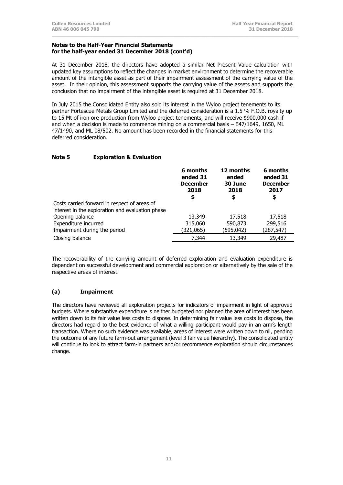At 31 December 2018, the directors have adopted a similar Net Present Value calculation with updated key assumptions to reflect the changes in market environment to determine the recoverable amount of the intangible asset as part of their impairment assessment of the carrying value of the asset. In their opinion, this assessment supports the carrying value of the assets and supports the conclusion that no impairment of the intangible asset is required at 31 December 2018.

**\_\_\_\_\_\_\_\_\_\_\_\_\_\_\_\_\_\_\_\_\_\_\_\_\_\_\_\_\_\_\_\_\_\_\_\_\_\_\_\_\_\_\_\_\_\_\_\_\_\_\_\_\_\_\_\_\_\_\_\_\_\_\_\_\_\_\_\_\_\_\_\_\_\_\_\_\_\_\_\_\_\_\_\_**

In July 2015 the Consolidated Entity also sold its interest in the Wyloo project tenements to its partner Fortescue Metals Group Limited and the deferred consideration is a 1.5 % F.O.B. royalty up to 15 Mt of iron ore production from Wyloo project tenements, and will receive \$900,000 cash if and when a decision is made to commence mining on a commercial basis – E47/1649, 1650, ML 47/1490, and ML 08/502. No amount has been recorded in the financial statements for this deferred consideration.

## **Note 5 Exploration & Evaluation**

|                                                  | 6 months<br>ended 31<br><b>December</b><br>2018<br>\$ | 12 months<br>ended<br>30 June<br>2018<br>\$ | 6 months<br>ended 31<br><b>December</b><br>2017<br>\$ |
|--------------------------------------------------|-------------------------------------------------------|---------------------------------------------|-------------------------------------------------------|
| Costs carried forward in respect of areas of     |                                                       |                                             |                                                       |
| interest in the exploration and evaluation phase |                                                       |                                             |                                                       |
| Opening balance                                  | 13,349                                                | 17,518                                      | 17,518                                                |
| Expenditure incurred                             | 315,060                                               | 590,873                                     | 299,516                                               |
| Impairment during the period                     | (321,065)                                             | (595,042)                                   | (287,547)                                             |
| Closing balance                                  | 7,344                                                 | 13,349                                      | 29,487                                                |

The recoverability of the carrying amount of deferred exploration and evaluation expenditure is dependent on successful development and commercial exploration or alternatively by the sale of the respective areas of interest.

## **(a) Impairment**

The directors have reviewed all exploration projects for indicators of impairment in light of approved budgets. Where substantive expenditure is neither budgeted nor planned the area of interest has been written down to its fair value less costs to dispose. In determining fair value less costs to dispose, the directors had regard to the best evidence of what a willing participant would pay in an arm's length transaction. Where no such evidence was available, areas of interest were written down to nil, pending the outcome of any future farm-out arrangement (level 3 fair value hierarchy). The consolidated entity will continue to look to attract farm-in partners and/or recommence exploration should circumstances change.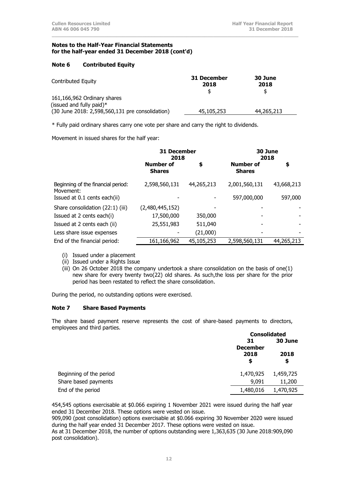## **Note 6 Contributed Equity**

| Contributed Equity                                                                                            | 31 December<br>2018 | 30 June<br>2018<br>\$ |
|---------------------------------------------------------------------------------------------------------------|---------------------|-----------------------|
| 161,166,962 Ordinary shares<br>(issued and fully paid) $*$<br>(30 June 2018: 2,598,560,131 pre consolidation) | 45,105,253          | 44,265,213            |

**\_\_\_\_\_\_\_\_\_\_\_\_\_\_\_\_\_\_\_\_\_\_\_\_\_\_\_\_\_\_\_\_\_\_\_\_\_\_\_\_\_\_\_\_\_\_\_\_\_\_\_\_\_\_\_\_\_\_\_\_\_\_\_\_\_\_\_\_\_\_\_\_\_\_\_\_\_\_\_\_\_\_\_\_**

\* Fully paid ordinary shares carry one vote per share and carry the right to dividends.

Movement in issued shares for the half year:

|                                                 | <b>31 December</b><br>2018        |            |                                   |            | 30 June<br>2018 |  |
|-------------------------------------------------|-----------------------------------|------------|-----------------------------------|------------|-----------------|--|
|                                                 | <b>Number of</b><br><b>Shares</b> | \$         | <b>Number of</b><br><b>Shares</b> | \$         |                 |  |
| Beginning of the financial period:<br>Movement: | 2,598,560,131                     | 44,265,213 | 2,001,560,131                     | 43,668,213 |                 |  |
| Issued at 0.1 cents each(ii)                    |                                   |            | 597,000,000                       | 597,000    |                 |  |
| Share consolidation (22:1) (iii)                | (2,480,445,152)                   |            |                                   |            |                 |  |
| Issued at 2 cents each(i)                       | 17,500,000                        | 350,000    |                                   |            |                 |  |
| Issued at 2 cents each (ii)                     | 25,551,983                        | 511,040    |                                   |            |                 |  |
| Less share issue expenses                       |                                   | (21,000)   |                                   |            |                 |  |
| End of the financial period:                    | 161,166,962                       | 45,105,253 | 2,598,560,131                     | 44,265,213 |                 |  |

- (i) Issued under a placement
- (ii) Issued under a Rights Issue
- (iii) On 26 October 2018 the company undertook a share consolidation on the basis of one(1) new share for every twenty two(22) old shares. As such,the loss per share for the prior period has been restated to reflect the share consolidation.

During the period, no outstanding options were exercised.

## **Note 7 Share Based Payments**

The share based payment reserve represents the cost of share-based payments to directors, employees and third parties.

|                         | <b>Consolidated</b>   |            |  |
|-------------------------|-----------------------|------------|--|
|                         | 31<br><b>December</b> |            |  |
|                         | 2018<br>\$            | 2018<br>\$ |  |
| Beginning of the period | 1,470,925             | 1,459,725  |  |
| Share based payments    | 9,091                 | 11,200     |  |
| End of the period       | 1,480,016             | 1,470,925  |  |

454,545 options exercisable at \$0.066 expiring 1 November 2021 were issued during the half year ended 31 December 2018. These options were vested on issue.

909,090 (post consolidation) options exercisable at \$0.066 expiring 30 November 2020 were issued during the half year ended 31 December 2017. These options were vested on issue.

As at 31 December 2018, the number of options outstanding were 1,363,635 (30 June 2018:909,090 post consolidation).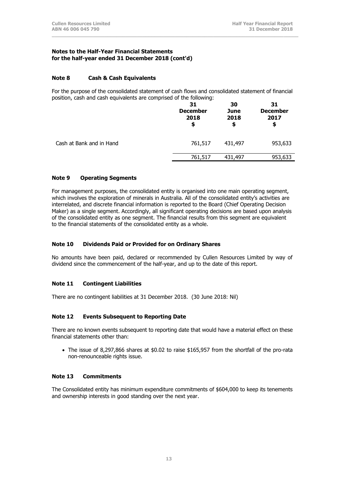## **Note 8 Cash & Cash Equivalents**

For the purpose of the consolidated statement of cash flows and consolidated statement of financial position, cash and cash equivalents are comprised of the following:

**\_\_\_\_\_\_\_\_\_\_\_\_\_\_\_\_\_\_\_\_\_\_\_\_\_\_\_\_\_\_\_\_\_\_\_\_\_\_\_\_\_\_\_\_\_\_\_\_\_\_\_\_\_\_\_\_\_\_\_\_\_\_\_\_\_\_\_\_\_\_\_\_\_\_\_\_\_\_\_\_\_\_\_\_**

|                          | 31<br><b>December</b><br>2018 | 30<br>June<br>2018<br>\$ | 31<br><b>December</b><br>2017<br>\$ |
|--------------------------|-------------------------------|--------------------------|-------------------------------------|
| Cash at Bank and in Hand | 761,517                       | 431,497                  | 953,633                             |
|                          | 761,517                       | 431,497                  | 953,633                             |

## **Note 9 Operating Segments**

For management purposes, the consolidated entity is organised into one main operating segment, which involves the exploration of minerals in Australia. All of the consolidated entity's activities are interrelated, and discrete financial information is reported to the Board (Chief Operating Decision Maker) as a single segment. Accordingly, all significant operating decisions are based upon analysis of the consolidated entity as one segment. The financial results from this segment are equivalent to the financial statements of the consolidated entity as a whole.

## **Note 10 Dividends Paid or Provided for on Ordinary Shares**

No amounts have been paid, declared or recommended by Cullen Resources Limited by way of dividend since the commencement of the half-year, and up to the date of this report.

#### **Note 11 Contingent Liabilities**

There are no contingent liabilities at 31 December 2018. (30 June 2018: Nil)

#### **Note 12 Events Subsequent to Reporting Date**

There are no known events subsequent to reporting date that would have a material effect on these financial statements other than:

• The issue of 8,297,866 shares at \$0.02 to raise \$165,957 from the shortfall of the pro-rata non-renounceable rights issue.

#### **Note 13 Commitments**

The Consolidated entity has minimum expenditure commitments of \$604,000 to keep its tenements and ownership interests in good standing over the next year.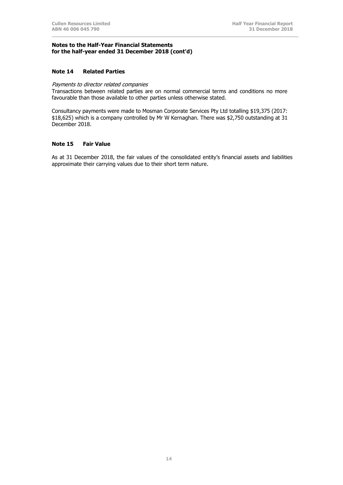#### **Note 14 Related Parties**

## Payments to director related companies

Transactions between related parties are on normal commercial terms and conditions no more favourable than those available to other parties unless otherwise stated.

**\_\_\_\_\_\_\_\_\_\_\_\_\_\_\_\_\_\_\_\_\_\_\_\_\_\_\_\_\_\_\_\_\_\_\_\_\_\_\_\_\_\_\_\_\_\_\_\_\_\_\_\_\_\_\_\_\_\_\_\_\_\_\_\_\_\_\_\_\_\_\_\_\_\_\_\_\_\_\_\_\_\_\_\_**

Consultancy payments were made to Mosman Corporate Services Pty Ltd totalling \$19,375 (2017: \$18,625) which is a company controlled by Mr W Kernaghan. There was \$2,750 outstanding at 31 December 2018.

#### **Note 15 Fair Value**

As at 31 December 2018, the fair values of the consolidated entity's financial assets and liabilities approximate their carrying values due to their short term nature.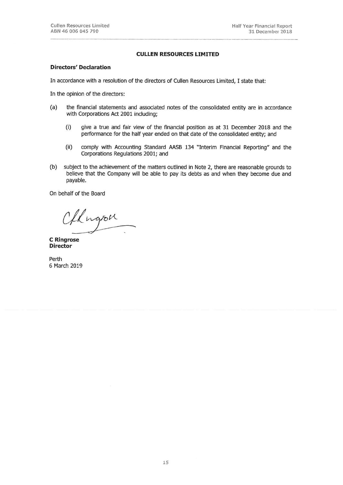#### **CULLEN RESOURCES LIMITED**

#### **Directors' Declaration**

In accordance with a resolution of the directors of Cullen Resources Limited, I state that:

In the opinion of the directors:

- $(a)$ the financial statements and associated notes of the consolidated entity are in accordance with Corporations Act 2001 including;
	- $(i)$ give a true and fair view of the financial position as at 31 December 2018 and the performance for the half year ended on that date of the consolidated entity; and
	- comply with Accounting Standard AASB 134 "Interim Financial Reporting" and the  $(ii)$ Corporations Regulations 2001; and
- $(b)$ subject to the achievement of the matters outlined in Note 2, there are reasonable grounds to believe that the Company will be able to pay its debts as and when they become due and payable.

On behalf of the Board

Oflugion

**C** Ringrose **Director** 

Perth 6 March 2019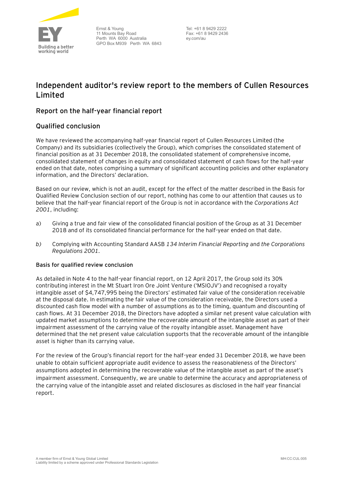

Ernst & Young 11 Mounts Bay Road Perth WA 6000 Australia GPO Box M939 Perth WA 6843

Tel: +61 8 9429 2222 Fax: +61 8 9429 2436 ey.com/au

## **Independent auditor's review report to the members of Cullen Resources Limited**

## **Report on the half-year financial report**

## **Qualified conclusion**

We have reviewed the accompanying half-year financial report of Cullen Resources Limited (the Company) and its subsidiaries (collectively the Group), which comprises the consolidated statement of financial position as at 31 December 2018, the consolidated statement of comprehensive income, consolidated statement of changes in equity and consolidated statement of cash flows for the half-year ended on that date, notes comprising a summary of significant accounting policies and other explanatory information, and the Directors' declaration.

Based on our review, which is not an audit, except for the effect of the matter described in the Basis for Qualified Review Conclusion section of our report, nothing has come to our attention that causes us to believe that the half-year financial report of the Group is not in accordance with the *Corporations Act 2001*, including:

- a) Giving a true and fair view of the consolidated financial position of the Group as at 31 December 2018 and of its consolidated financial performance for the half-year ended on that date.
- *b)* Complying with Accounting Standard AASB *134 Interim Financial Reporting* and *the Corporations Regulations 2001.*

## **Basis for qualified review conclusion**

As detailed in Note 4 to the half-year financial report, on 12 April 2017, the Group sold its 30% contributing interest in the Mt Stuart Iron Ore Joint Venture ('MSIOJV') and recognised a royalty intangible asset of \$4,747,995 being the Directors' estimated fair value of the consideration receivable at the disposal date. In estimating the fair value of the consideration receivable, the Directors used a discounted cash flow model with a number of assumptions as to the timing, quantum and discounting of cash flows. At 31 December 2018, the Directors have adopted a similar net present value calculation with updated market assumptions to determine the recoverable amount of the intangible asset as part of their impairment assessment of the carrying value of the royalty intangible asset. Management have determined that the net present value calculation supports that the recoverable amount of the intangible asset is higher than its carrying value.

For the review of the Group's financial report for the half-year ended 31 December 2018, we have been unable to obtain sufficient appropriate audit evidence to assess the reasonableness of the Directors' assumptions adopted in determining the recoverable value of the intangible asset as part of the asset's impairment assessment. Consequently, we are unable to determine the accuracy and appropriateness of the carrying value of the intangible asset and related disclosures as disclosed in the half year financial report.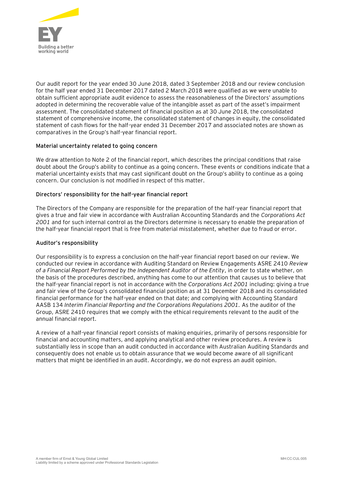

Our audit report for the year ended 30 June 2018, dated 3 September 2018 and our review conclusion for the half year ended 31 December 2017 dated 2 March 2018 were qualified as we were unable to obtain sufficient appropriate audit evidence to assess the reasonableness of the Directors' assumptions adopted in determining the recoverable value of the intangible asset as part of the asset's impairment assessment. The consolidated statement of financial position as at 30 June 2018, the consolidated statement of comprehensive income, the consolidated statement of changes in equity, the consolidated statement of cash flows for the half-year ended 31 December 2017 and associated notes are shown as comparatives in the Group's half-year financial report.

## **Material uncertainty related to going concern**

We draw attention to Note 2 of the financial report, which describes the principal conditions that raise doubt about the Group's ability to continue as a going concern. These events or conditions indicate that a material uncertainty exists that may cast significant doubt on the Group's ability to continue as a going concern. Our conclusion is not modified in respect of this matter.

## **Directors' responsibility for the half-year financial report**

The Directors of the Company are responsible for the preparation of the half-year financial report that gives a true and fair view in accordance with Australian Accounting Standards and the *Corporations Act 2001* and for such internal control as the Directors determine is necessary to enable the preparation of the half-year financial report that is free from material misstatement, whether due to fraud or error.

## **Auditor's responsibility**

Our responsibility is to express a conclusion on the half-year financial report based on our review. We conducted our review in accordance with Auditing Standard on Review Engagements ASRE 2410 *Review of a Financial Report Performed by the Independent Auditor of the Entity*, in order to state whether, on the basis of the procedures described, anything has come to our attention that causes us to believe that the half-year financial report is not in accordance with the *Corporations Act 2001* including: giving a true and fair view of the Group's consolidated financial position as at 31 December 2018 and its consolidated financial performance for the half-year ended on that date; and complying with Accounting Standard AASB 134 *Interim Financial Reporting and the Corporations Regulations 2001.* As the auditor of the Group, ASRE 2410 requires that we comply with the ethical requirements relevant to the audit of the annual financial report.

A review of a half-year financial report consists of making enquiries, primarily of persons responsible for financial and accounting matters, and applying analytical and other review procedures. A review is substantially less in scope than an audit conducted in accordance with Australian Auditing Standards and consequently does not enable us to obtain assurance that we would become aware of all significant matters that might be identified in an audit. Accordingly, we do not express an audit opinion.